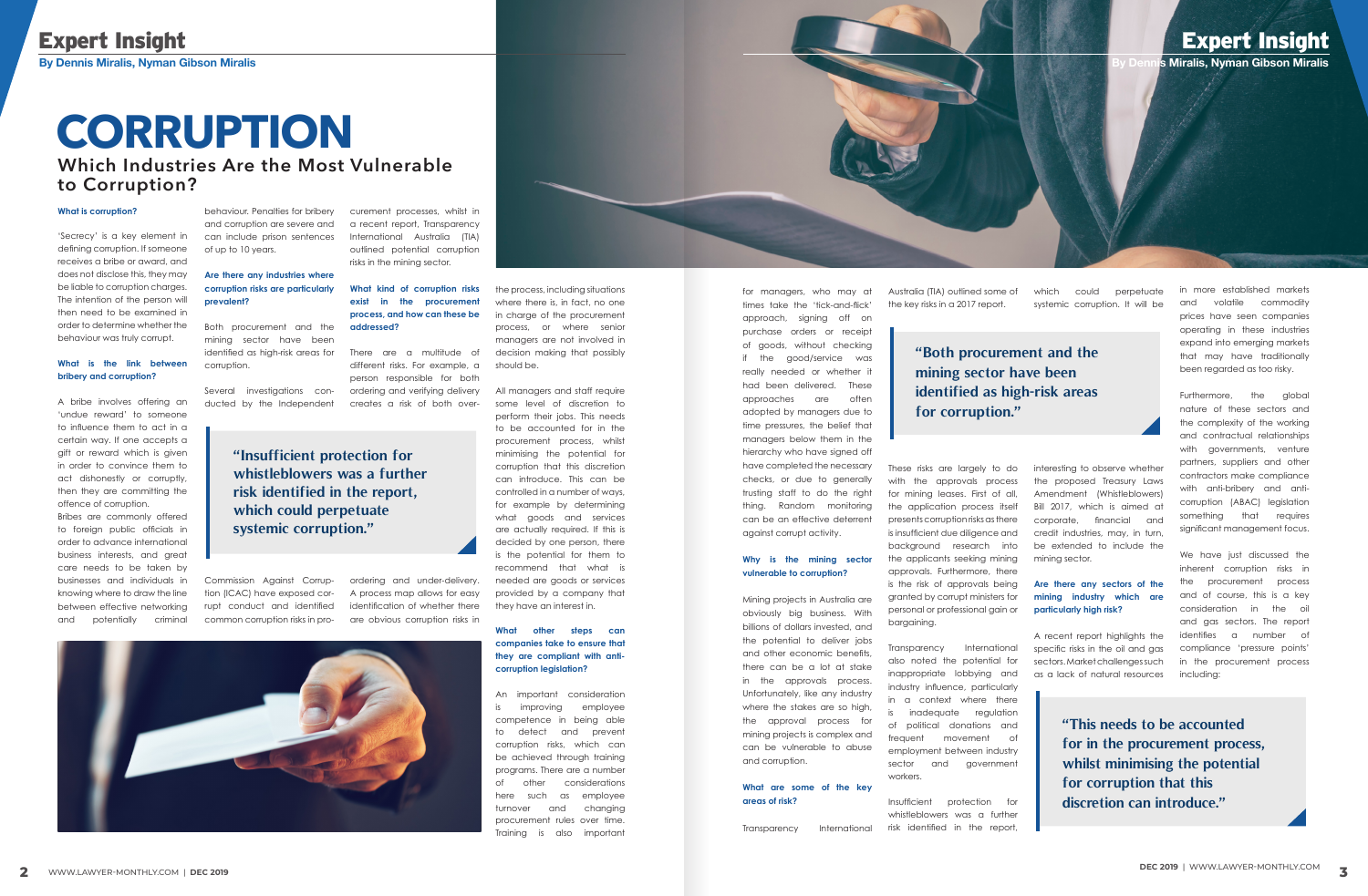An important consideration is improving employee competence in being able to detect and prevent corruption risks, which can be achieved through training programs. There are a number of other considerations here such as employee turnover and changing procurement rules over time. Training is also important

All managers and staff require some level of discretion to perform their jobs. This needs to be accounted for in the procurement process, whilst minimising the potential for corruption that this discretion can introduce. This can be controlled in a number of ways, for example by determining what goods and services are actually required. If this is decided by one person, there is the potential for them to recommend that what is needed are goods or services provided by a company that they have an interest in.

## **What other steps can companies take to ensure that they are compliant with anticorruption legislation?**

#### **What is corruption?**

'Secrecy' is a key element in defining corruption. If someone receives a bribe or award, and does not disclose this, they may be liable to corruption charges. The intention of the person will then need to be examined in order to determine whether the behaviour was truly corrupt.

the process, including situations where there is, in fact, no one in charge of the procurement process, or where senior managers are not involved in decision making that possibly should be. **What kind of corruption risks exist in the procurement process, and how can these be**  There are a multitude of different risks. For example, a

## **What is the link between bribery and corruption?**

A bribe involves offering an 'undue reward' to someone to influence them to act in a certain way. If one accepts a gift or reward which is given in order to convince them to act dishonestly or corruptly, then they are committing the offence of corruption.

Bribes are commonly offered to foreign public officials in order to advance international business interests, and great care needs to be taken by businesses and individuals in knowing where to draw the line between effective networking and potentially criminal

behaviour. Penalties for bribery and corruption are severe and can include prison sentences of up to 10 years.

## **Are there any industries where corruption risks are particularly prevalent?**

Both procurement and the mining sector have been identified as high-risk areas for corruption.

Several investigations conducted by the Independent

Commission Against Corruption (ICAC) have exposed corrupt conduct and identified common corruption risks in pro-

> Insufficient protection for whistleblowers was a further risk identified in the report,

interesting to observe whether the proposed Treasury Laws Amendment (Whistleblowers) Bill 2017, which is aimed at corporate, financial and credit industries, may, in turn, be extended to include the mining sector.



risks in the mining sector.

**addressed?**



in more established markets and volatile commodity prices have seen companies operating in these industries expand into emerging markets that may have traditionally been regarded as too risky.

person responsible for both ordering and verifying delivery creates a risk of both over-

ordering and under-delivery. A process map allows for easy identification of whether there are obvious corruption risks in

We have just discussed the inherent corruption risks in the procurement process and of course, this is a key consideration in the and gas sectors. The report identifies a number of compliance 'pressure points' in the procurement process including:

for managers, who may at times take the 'tick-and-flick' approach, signing off on purchase orders or receipt of goods, without checking the good/service was really needed or whether it had been delivered. These approaches are often adopted by managers due to time pressures, the belief that managers below them in the hierarchy who have signed off have completed the necessary checks, or due to generally trusting staff to do the right thing. Random monitoring can be an effective deterrent against corrupt activity.

## **Why is the mining sector vulnerable to corruption?**

Mining projects in Australia are obviously big business. With billions of dollars invested, and the potential to deliver jobs and other economic benefits, there can be a lot at stake in the approvals process. Unfortunately, like any industry where the stakes are so high, the approval process for mining projects is complex and can be vulnerable to abuse and corruption.

## **What are some of the key areas of risk?**

Transparency International

Australia (TIA) outlined some of the key risks in a 2017 report.

These risks are largely to do with the approvals process for mining leases. First of all, the application process itself presents corruption risks as there is insufficient due diligence and background research into the applicants seeking mining approvals. Furthermore, there is the risk of approvals being granted by corrupt ministers for personal or professional gain or bargaining.

Transparency International also noted the potential for inappropriate lobbying and industry influence, particularly in a context where there is inadequate regulation of political donations and frequent movement of employment between industry sector and government workers.

# **CORRUPTION Which Industries Are the Most Vulnerable to Corruption?**

which could perpetuate systemic corruption. It will be

### **Are there any sectors of the mining industry which are particularly high risk?**

A recent report highlights the specific risks in the oil and gas sectors. Market challenges such as a lack of natural resources Furthermore, the global nature of these sectors and the complexity of the working and contractual relationships with governments, venture partners, suppliers and other contractors make compliance with anti-bribery and anticorruption (ABAC) legislation something that requires significant management focus.

## **"Both procurement and the mining sector have been identified as high-risk areas for corruption."**

**"This needs to be accounted for in the procurement process, whilst minimising the potential for corruption that this discretion can introduce."**

## Expert Insight **By Dennis Miralis, Nyman Gibson Miralis**

**"Insufficient protection for whistleblowers was a further risk identified in the report, which could perpetuate systemic corruption."**